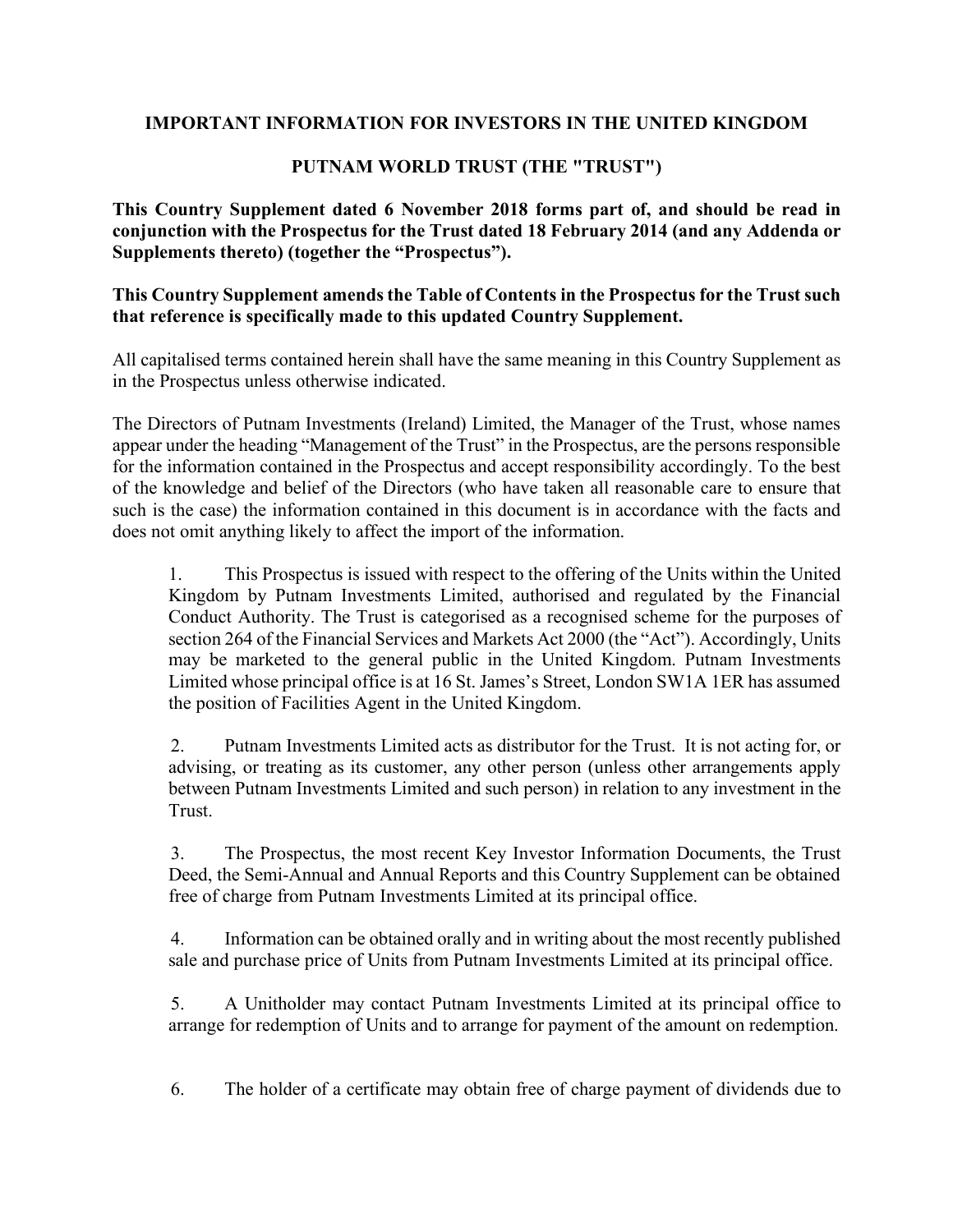# **IMPORTANT INFORMATION FOR INVESTORS IN THE UNITED KINGDOM**

# **PUTNAM WORLD TRUST (THE "TRUST")**

**This Country Supplement dated 6 November 2018 forms part of, and should be read in conjunction with the Prospectus for the Trust dated 18 February 2014 (and any Addenda or Supplements thereto) (together the "Prospectus").** 

## **This Country Supplement amends the Table of Contents in the Prospectus for the Trust such that reference is specifically made to this updated Country Supplement.**

All capitalised terms contained herein shall have the same meaning in this Country Supplement as in the Prospectus unless otherwise indicated.

The Directors of Putnam Investments (Ireland) Limited, the Manager of the Trust, whose names appear under the heading "Management of the Trust" in the Prospectus, are the persons responsible for the information contained in the Prospectus and accept responsibility accordingly. To the best of the knowledge and belief of the Directors (who have taken all reasonable care to ensure that such is the case) the information contained in this document is in accordance with the facts and does not omit anything likely to affect the import of the information.

1. This Prospectus is issued with respect to the offering of the Units within the United Kingdom by Putnam Investments Limited, authorised and regulated by the Financial Conduct Authority. The Trust is categorised as a recognised scheme for the purposes of section 264 of the Financial Services and Markets Act 2000 (the "Act"). Accordingly, Units may be marketed to the general public in the United Kingdom. Putnam Investments Limited whose principal office is at 16 St. James's Street, London SW1A 1ER has assumed the position of Facilities Agent in the United Kingdom.

2. Putnam Investments Limited acts as distributor for the Trust. It is not acting for, or advising, or treating as its customer, any other person (unless other arrangements apply between Putnam Investments Limited and such person) in relation to any investment in the **Trust** 

3. The Prospectus, the most recent Key Investor Information Documents, the Trust Deed, the Semi-Annual and Annual Reports and this Country Supplement can be obtained free of charge from Putnam Investments Limited at its principal office.

4. Information can be obtained orally and in writing about the most recently published sale and purchase price of Units from Putnam Investments Limited at its principal office.

5. A Unitholder may contact Putnam Investments Limited at its principal office to arrange for redemption of Units and to arrange for payment of the amount on redemption.

6. The holder of a certificate may obtain free of charge payment of dividends due to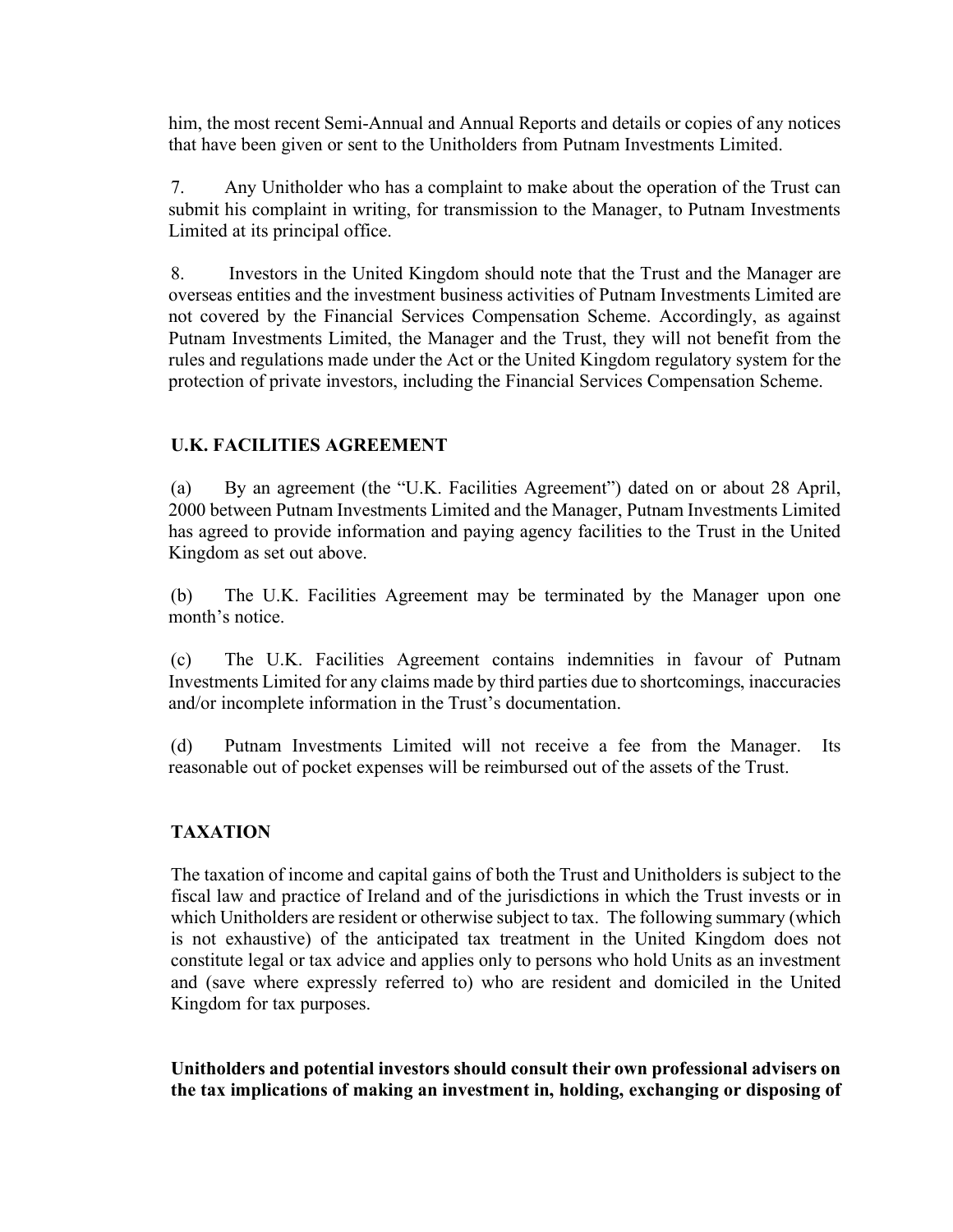him, the most recent Semi-Annual and Annual Reports and details or copies of any notices that have been given or sent to the Unitholders from Putnam Investments Limited.

7. Any Unitholder who has a complaint to make about the operation of the Trust can submit his complaint in writing, for transmission to the Manager, to Putnam Investments Limited at its principal office.

8. Investors in the United Kingdom should note that the Trust and the Manager are overseas entities and the investment business activities of Putnam Investments Limited are not covered by the Financial Services Compensation Scheme. Accordingly, as against Putnam Investments Limited, the Manager and the Trust, they will not benefit from the rules and regulations made under the Act or the United Kingdom regulatory system for the protection of private investors, including the Financial Services Compensation Scheme.

## **U.K. FACILITIES AGREEMENT**

(a) By an agreement (the "U.K. Facilities Agreement") dated on or about 28 April, 2000 between Putnam Investments Limited and the Manager, Putnam Investments Limited has agreed to provide information and paying agency facilities to the Trust in the United Kingdom as set out above.

(b) The U.K. Facilities Agreement may be terminated by the Manager upon one month's notice.

(c) The U.K. Facilities Agreement contains indemnities in favour of Putnam Investments Limited for any claims made by third parties due to shortcomings, inaccuracies and/or incomplete information in the Trust's documentation.

(d) Putnam Investments Limited will not receive a fee from the Manager. Its reasonable out of pocket expenses will be reimbursed out of the assets of the Trust.

# **TAXATION**

The taxation of income and capital gains of both the Trust and Unitholders is subject to the fiscal law and practice of Ireland and of the jurisdictions in which the Trust invests or in which Unitholders are resident or otherwise subject to tax. The following summary (which is not exhaustive) of the anticipated tax treatment in the United Kingdom does not constitute legal or tax advice and applies only to persons who hold Units as an investment and (save where expressly referred to) who are resident and domiciled in the United Kingdom for tax purposes.

**Unitholders and potential investors should consult their own professional advisers on the tax implications of making an investment in, holding, exchanging or disposing of**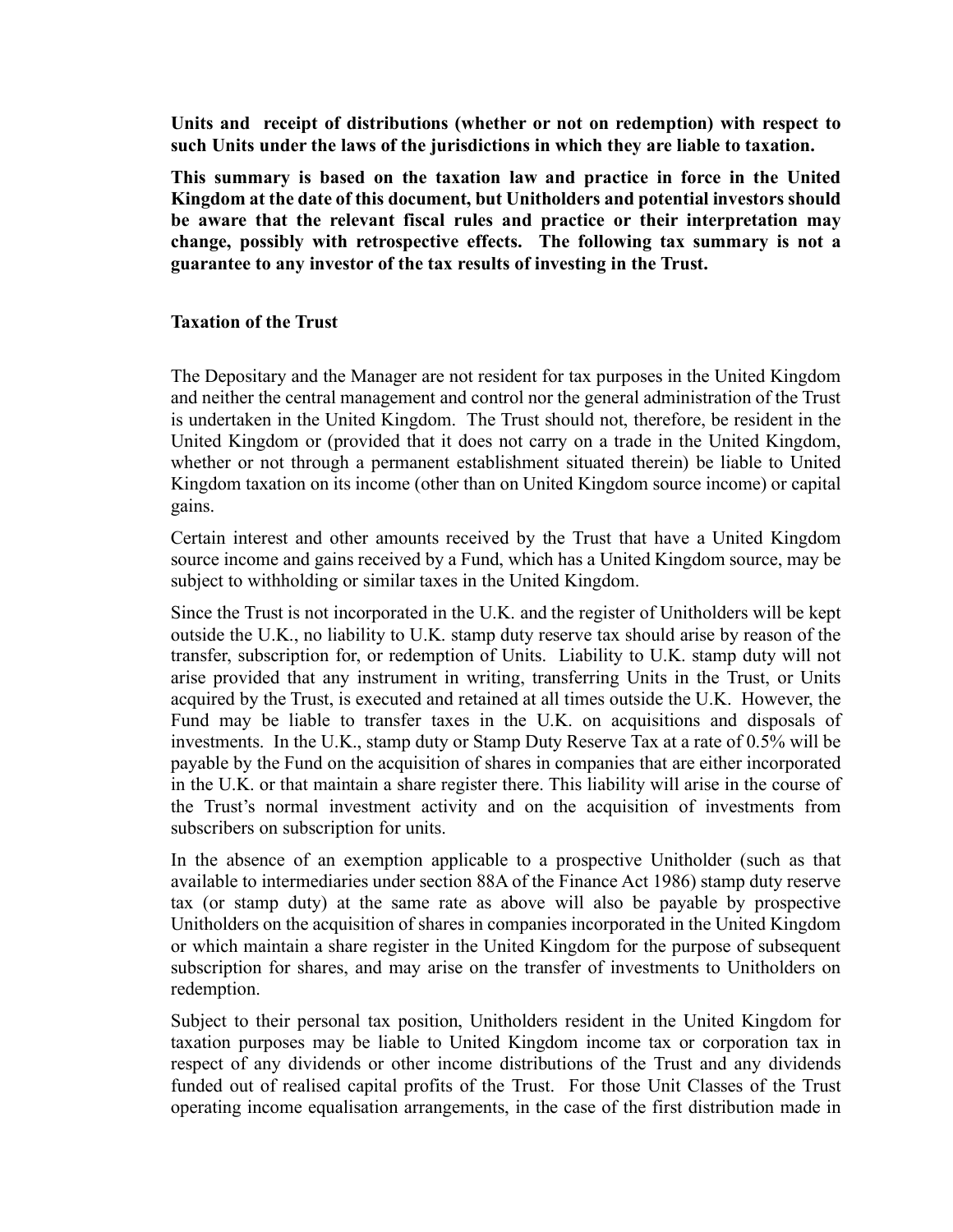**Units and receipt of distributions (whether or not on redemption) with respect to such Units under the laws of the jurisdictions in which they are liable to taxation.**

**This summary is based on the taxation law and practice in force in the United Kingdom at the date of this document, but Unitholders and potential investors should be aware that the relevant fiscal rules and practice or their interpretation may change, possibly with retrospective effects. The following tax summary is not a guarantee to any investor of the tax results of investing in the Trust.**

### **Taxation of the Trust**

The Depositary and the Manager are not resident for tax purposes in the United Kingdom and neither the central management and control nor the general administration of the Trust is undertaken in the United Kingdom. The Trust should not, therefore, be resident in the United Kingdom or (provided that it does not carry on a trade in the United Kingdom, whether or not through a permanent establishment situated therein) be liable to United Kingdom taxation on its income (other than on United Kingdom source income) or capital gains.

Certain interest and other amounts received by the Trust that have a United Kingdom source income and gains received by a Fund, which has a United Kingdom source, may be subject to withholding or similar taxes in the United Kingdom.

Since the Trust is not incorporated in the U.K. and the register of Unitholders will be kept outside the U.K., no liability to U.K. stamp duty reserve tax should arise by reason of the transfer, subscription for, or redemption of Units. Liability to U.K. stamp duty will not arise provided that any instrument in writing, transferring Units in the Trust, or Units acquired by the Trust, is executed and retained at all times outside the U.K. However, the Fund may be liable to transfer taxes in the U.K. on acquisitions and disposals of investments. In the U.K., stamp duty or Stamp Duty Reserve Tax at a rate of 0.5% will be payable by the Fund on the acquisition of shares in companies that are either incorporated in the U.K. or that maintain a share register there. This liability will arise in the course of the Trust's normal investment activity and on the acquisition of investments from subscribers on subscription for units.

In the absence of an exemption applicable to a prospective Unitholder (such as that available to intermediaries under section 88A of the Finance Act 1986) stamp duty reserve tax (or stamp duty) at the same rate as above will also be payable by prospective Unitholders on the acquisition of shares in companies incorporated in the United Kingdom or which maintain a share register in the United Kingdom for the purpose of subsequent subscription for shares, and may arise on the transfer of investments to Unitholders on redemption.

Subject to their personal tax position, Unitholders resident in the United Kingdom for taxation purposes may be liable to United Kingdom income tax or corporation tax in respect of any dividends or other income distributions of the Trust and any dividends funded out of realised capital profits of the Trust. For those Unit Classes of the Trust operating income equalisation arrangements, in the case of the first distribution made in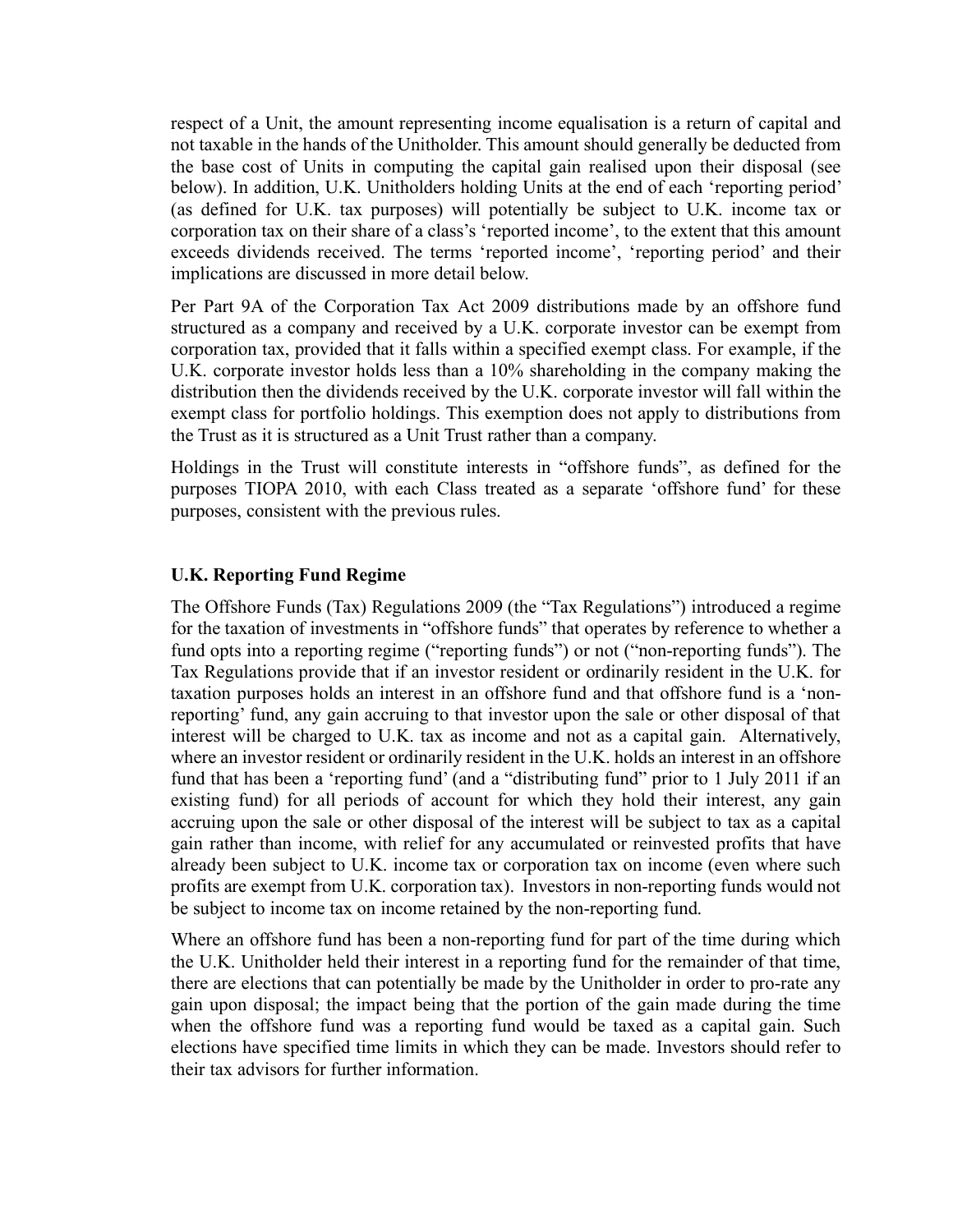respect of a Unit, the amount representing income equalisation is a return of capital and not taxable in the hands of the Unitholder. This amount should generally be deducted from the base cost of Units in computing the capital gain realised upon their disposal (see below). In addition, U.K. Unitholders holding Units at the end of each 'reporting period' (as defined for U.K. tax purposes) will potentially be subject to U.K. income tax or corporation tax on their share of a class's 'reported income', to the extent that this amount exceeds dividends received. The terms 'reported income', 'reporting period' and their implications are discussed in more detail below.

Per Part 9A of the Corporation Tax Act 2009 distributions made by an offshore fund structured as a company and received by a U.K. corporate investor can be exempt from corporation tax, provided that it falls within a specified exempt class. For example, if the U.K. corporate investor holds less than a 10% shareholding in the company making the distribution then the dividends received by the U.K. corporate investor will fall within the exempt class for portfolio holdings. This exemption does not apply to distributions from the Trust as it is structured as a Unit Trust rather than a company.

Holdings in the Trust will constitute interests in "offshore funds", as defined for the purposes TIOPA 2010, with each Class treated as a separate 'offshore fund' for these purposes, consistent with the previous rules.

### **U.K. Reporting Fund Regime**

The Offshore Funds (Tax) Regulations 2009 (the "Tax Regulations") introduced a regime for the taxation of investments in "offshore funds" that operates by reference to whether a fund opts into a reporting regime ("reporting funds") or not ("non-reporting funds"). The Tax Regulations provide that if an investor resident or ordinarily resident in the U.K. for taxation purposes holds an interest in an offshore fund and that offshore fund is a 'nonreporting' fund, any gain accruing to that investor upon the sale or other disposal of that interest will be charged to U.K. tax as income and not as a capital gain. Alternatively, where an investor resident or ordinarily resident in the U.K. holds an interest in an offshore fund that has been a 'reporting fund' (and a "distributing fund" prior to 1 July 2011 if an existing fund) for all periods of account for which they hold their interest, any gain accruing upon the sale or other disposal of the interest will be subject to tax as a capital gain rather than income, with relief for any accumulated or reinvested profits that have already been subject to U.K. income tax or corporation tax on income (even where such profits are exempt from U.K. corporation tax). Investors in non-reporting funds would not be subject to income tax on income retained by the non-reporting fund.

Where an offshore fund has been a non-reporting fund for part of the time during which the U.K. Unitholder held their interest in a reporting fund for the remainder of that time, there are elections that can potentially be made by the Unitholder in order to pro-rate any gain upon disposal; the impact being that the portion of the gain made during the time when the offshore fund was a reporting fund would be taxed as a capital gain. Such elections have specified time limits in which they can be made. Investors should refer to their tax advisors for further information.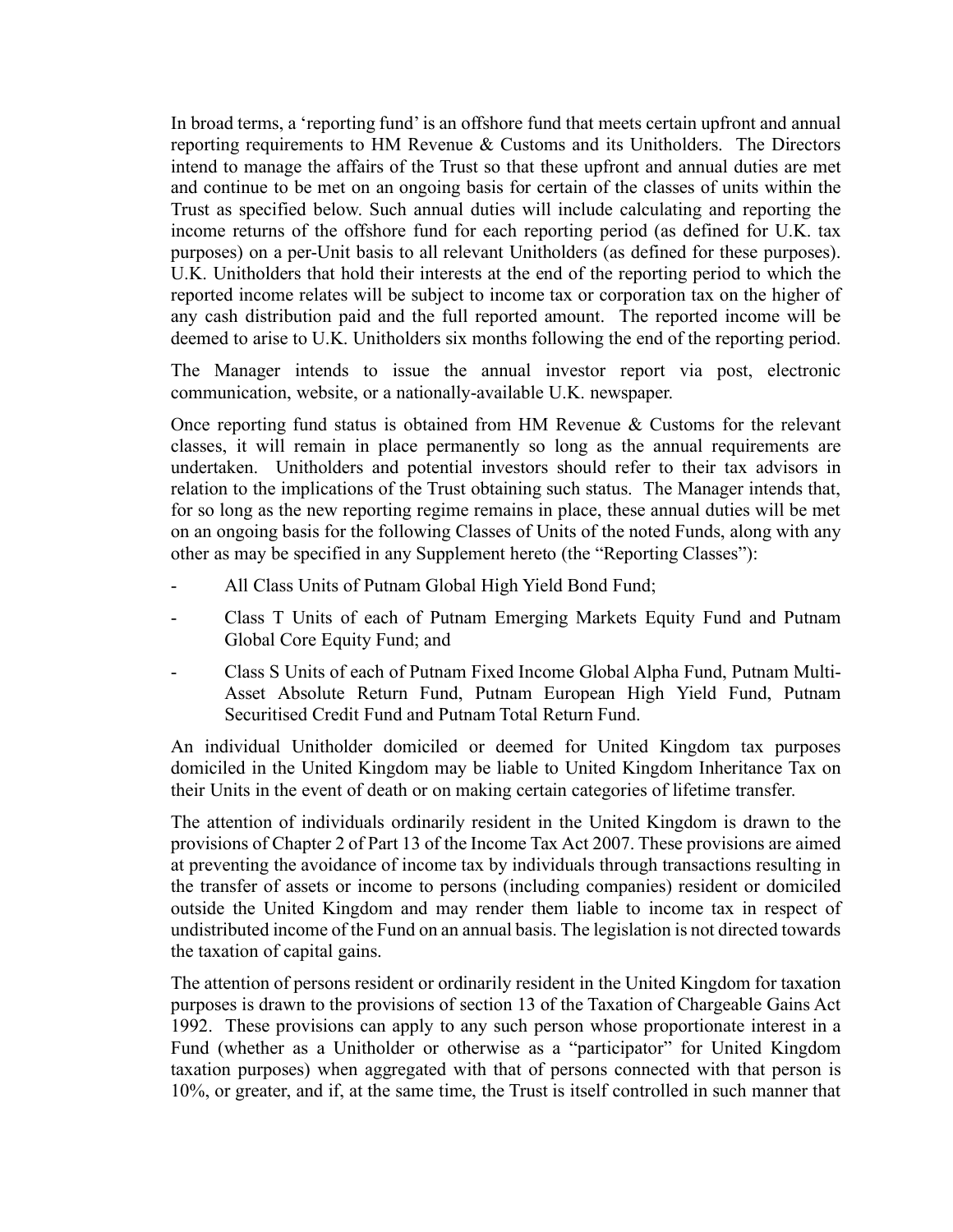In broad terms, a 'reporting fund' is an offshore fund that meets certain upfront and annual reporting requirements to HM Revenue & Customs and its Unitholders. The Directors intend to manage the affairs of the Trust so that these upfront and annual duties are met and continue to be met on an ongoing basis for certain of the classes of units within the Trust as specified below. Such annual duties will include calculating and reporting the income returns of the offshore fund for each reporting period (as defined for U.K. tax purposes) on a per-Unit basis to all relevant Unitholders (as defined for these purposes). U.K. Unitholders that hold their interests at the end of the reporting period to which the reported income relates will be subject to income tax or corporation tax on the higher of any cash distribution paid and the full reported amount. The reported income will be deemed to arise to U.K. Unitholders six months following the end of the reporting period.

The Manager intends to issue the annual investor report via post, electronic communication, website, or a nationally-available U.K. newspaper.

Once reporting fund status is obtained from HM Revenue & Customs for the relevant classes, it will remain in place permanently so long as the annual requirements are undertaken. Unitholders and potential investors should refer to their tax advisors in relation to the implications of the Trust obtaining such status. The Manager intends that, for so long as the new reporting regime remains in place, these annual duties will be met on an ongoing basis for the following Classes of Units of the noted Funds, along with any other as may be specified in any Supplement hereto (the "Reporting Classes"):

- All Class Units of Putnam Global High Yield Bond Fund;
- Class T Units of each of Putnam Emerging Markets Equity Fund and Putnam Global Core Equity Fund; and
- Class S Units of each of Putnam Fixed Income Global Alpha Fund, Putnam Multi-Asset Absolute Return Fund, Putnam European High Yield Fund, Putnam Securitised Credit Fund and Putnam Total Return Fund.

An individual Unitholder domiciled or deemed for United Kingdom tax purposes domiciled in the United Kingdom may be liable to United Kingdom Inheritance Tax on their Units in the event of death or on making certain categories of lifetime transfer.

The attention of individuals ordinarily resident in the United Kingdom is drawn to the provisions of Chapter 2 of Part 13 of the Income Tax Act 2007. These provisions are aimed at preventing the avoidance of income tax by individuals through transactions resulting in the transfer of assets or income to persons (including companies) resident or domiciled outside the United Kingdom and may render them liable to income tax in respect of undistributed income of the Fund on an annual basis. The legislation is not directed towards the taxation of capital gains.

The attention of persons resident or ordinarily resident in the United Kingdom for taxation purposes is drawn to the provisions of section 13 of the Taxation of Chargeable Gains Act 1992. These provisions can apply to any such person whose proportionate interest in a Fund (whether as a Unitholder or otherwise as a "participator" for United Kingdom taxation purposes) when aggregated with that of persons connected with that person is 10%, or greater, and if, at the same time, the Trust is itself controlled in such manner that